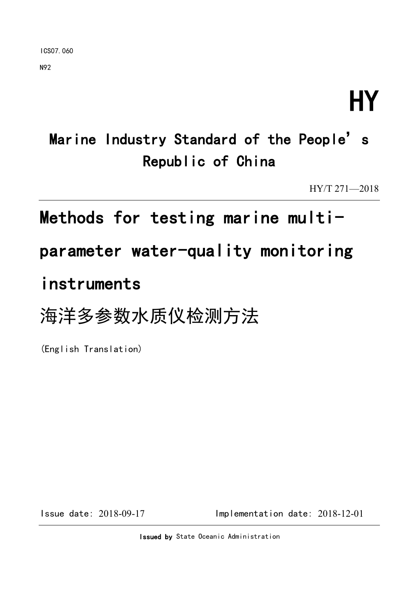N92

# HY

# Marine Industry Standard of the People's Republic of China

HY/T 271—2018

# Methods for testing marine multi-

# parameter water-quality monitoring

# instruments

# 海洋多参数水质仪检测方法

(English Translation)

Issue date: 2018-09-17 Implementation date: 2018-12-01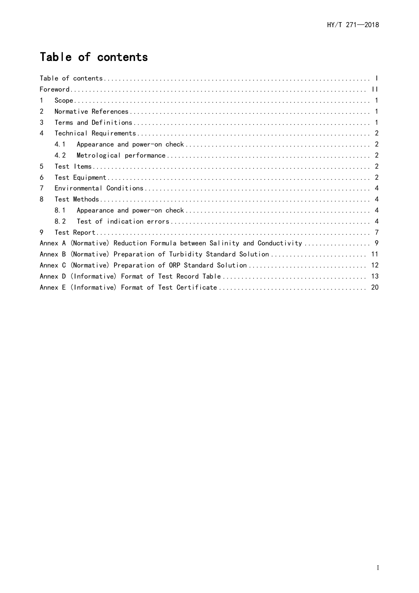# <span id="page-1-0"></span>Table of contents

| 1       |
|---------|
| 2       |
| 3       |
| 4       |
| 4 1     |
| 4.2     |
| 5       |
| 6       |
| 7       |
| 8       |
| 8.1     |
| 82      |
| 9       |
|         |
| Annex B |
|         |
|         |
|         |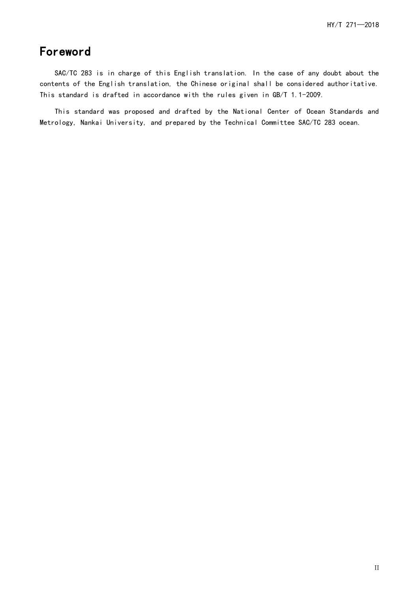# <span id="page-2-0"></span>Foreword

SAC/TC 283 is in charge of this English translation. In the case of any doubt about the contents of the English translation, the Chinese original shall be considered authoritative. This standard is drafted in accordance with the rules given in GB/T 1.1-2009.

This standard was proposed and drafted by the National Center of Ocean Standards and Metrology, Nankai University, and prepared by the Technical Committee SAC/TC 283 ocean.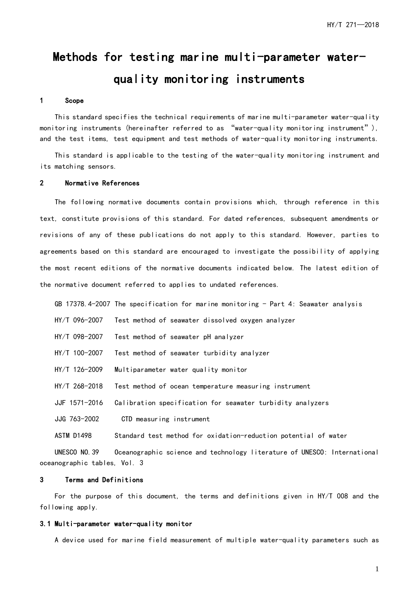# Methods for testing marine multi-parameter waterquality monitoring instruments

#### <span id="page-3-0"></span>1 Scope

This standard specifies the technical requirements of marine multi-parameter water-quality monitoring instruments (hereinafter referred to as "water-quality monitoring instrument"), and the test items, test equipment and test methods of water-quality monitoring instruments.

This standard is applicable to the testing of the water-quality monitoring instrument and its matching sensors.

#### <span id="page-3-1"></span>2 Normative References

The following normative documents contain provisions which, through reference in this text, constitute provisions of this standard. For dated references, subsequent amendments or revisions of any of these publications do not apply to this standard. However, parties to agreements based on this standard are encouraged to investigate the possibility of applying the most recent editions of the normative documents indicated below. The latest edition of the normative document referred to applies to undated references.

| GB 17378.4-2007 The specification for marine monitoring - Part 4: Seawater analysis |  |  |  |  |  |  |  |  |  |  |  |  |  |
|-------------------------------------------------------------------------------------|--|--|--|--|--|--|--|--|--|--|--|--|--|
|-------------------------------------------------------------------------------------|--|--|--|--|--|--|--|--|--|--|--|--|--|

- HY/T 096-2007 Test method of seawater dissolved oxygen analyzer
- HY/T 098-2007 Test method of seawater pH analyzer
- HY/T 100-2007 Test method of seawater turbidity analyzer
- HY/T 126-2009 Multiparameter water quality monitor
- HY/T 268-2018 Test method of ocean temperature measuring instrument
- JJF 1571-2016 Calibration specification for seawater turbidity analyzers
- JJG 763-2002 CTD measuring instrument

ASTM D1498 Standard test method for oxidation-reduction potential of water

UNESCO NO.39 Oceanographic science and technology literature of UNESCO: International oceanographic tables, Vol. 3

#### <span id="page-3-2"></span>3 Terms and Definitions

For the purpose of this document, the terms and definitions given in HY/T 008 and the following apply.

#### 3.1 Multi-parameter water-quality monitor

A device used for marine field measurement of multiple water-quality parameters such as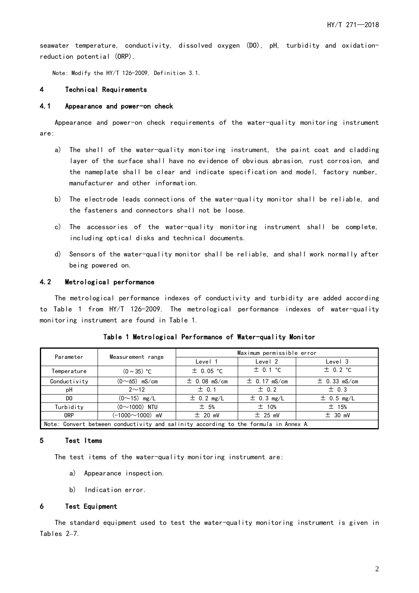seawater temperature, conductivity, dissolved oxygen (DO), pH, turbidity and oxidationreduction potential (ORP).

Note: Modify the HY/T 126-2009, Definition 3.1.

#### <span id="page-4-0"></span>4 Technical Requirements

#### <span id="page-4-1"></span>4.1 Appearance and power-on check

Appearance and power-on check requirements of the water-quality monitoring instrument are:

- a) The shell of the water-quality monitoring instrument, the paint coat and cladding layer of the surface shall have no evidence of obvious abrasion, rust corrosion, and the nameplate shall be clear and indicate specification and model, factory number, manufacturer and other information.
- b) The electrode leads connections of the water-quality monitor shall be reliable, and the fasteners and connectors shall not be loose.
- c) The accessories of the water-quality monitoring instrument shall be complete, including optical disks and technical documents.
- d) Sensors of the water-quality monitor shall be reliable, and shall work normally after being powered on.

#### <span id="page-4-2"></span>4.2 Metrological performance

The metrological performance indexes of conductivity and turbidity are added according to Table 1 from HY/T 126-2009. The metrological performance indexes of water-quality monitoring instrument are found in Table 1.

| Parameter                                                                            |                        | Maximum permissible error |                  |                  |  |  |  |  |
|--------------------------------------------------------------------------------------|------------------------|---------------------------|------------------|------------------|--|--|--|--|
|                                                                                      | Measurement range      | Level 1                   | Level 2          | Level 3          |  |  |  |  |
| Temperature                                                                          | $(0 \sim 35)$ °C       | $\pm$ 0.05 °C             | $\pm$ 0.1 °C     | $\pm$ 0.2 °C     |  |  |  |  |
| Conductivity                                                                         | $(0 \sim 65)$ mS/cm    | $\pm$ 0.08 mS/cm          | $\pm$ 0.17 mS/cm | $\pm$ 0.33 mS/cm |  |  |  |  |
| pH                                                                                   | $2^{\sim}12$           | $\pm$ 0.1                 | $\pm$ 0.2        | $\pm$ 0.3        |  |  |  |  |
| DO.                                                                                  | $(0 \sim 15)$ mg/L     | $\pm$ 0.2 mg/L            | $\pm$ 0.3 mg/L   | $\pm$ 0.5 mg/L   |  |  |  |  |
| Turbidity                                                                            | $(0 \sim 1000)$ NTU    | ± 5%                      | $±$ 10%          | $±$ 15%          |  |  |  |  |
| <b>ORP</b>                                                                           | $(-1000 \sim 1000)$ mV | ± 20 mV                   | $±$ 25 mV        | ± 30 mV          |  |  |  |  |
| Note: Convert between conductivity and salinity according to the formula in Annex A. |                        |                           |                  |                  |  |  |  |  |

Table 1 Metrological Performance of Water-quality Monitor

#### <span id="page-4-3"></span>5 Test Items

The test items of the water-quality monitoring instrument are:

- a) Appearance inspection.
- b) Indication error.

#### <span id="page-4-4"></span>6 Test Equipment

The standard equipment used to test the water-quality monitoring instrument is given in Tables 2–7.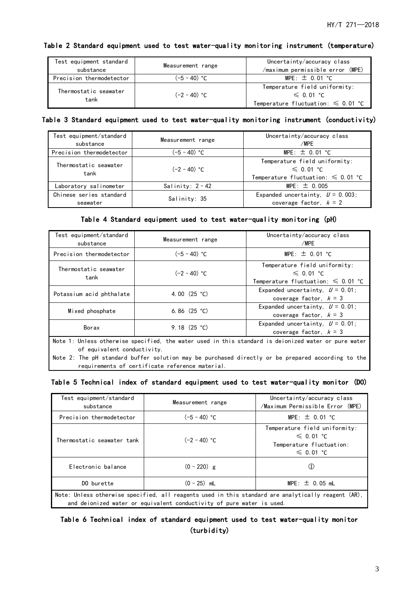| Test equipment standard<br>substance | Measurement range | Uncertainty/accuracy class<br>/maximum permissible error (MPE)                             |
|--------------------------------------|-------------------|--------------------------------------------------------------------------------------------|
| Precision thermodetector             | (−5 − 40) °C      | MPE: $\pm$ 0.01 °C                                                                         |
| Thermostatic seawater<br>tank        | $(-2 - 40)$ °C    | Temperature field uniformity:<br>$\leq 0.01$ °C<br>Temperature fluctuation: $\leq 0.01$ °C |

#### Table 2 Standard equipment used to test water-quality monitoring instrument (temperature)

#### Table 3 Standard equipment used to test water-quality monitoring instrument (conductivity)

| Test equipment/standard<br>substance | Measurement range  | Uncertainty/accuracy class<br>/MPE                                                              |
|--------------------------------------|--------------------|-------------------------------------------------------------------------------------------------|
| Precision thermodetector             | (−5 – 40) °C       | MPE: $\pm$ 0.01 °C                                                                              |
| Thermostatic seawater<br>tank        | $(-2 - 40)$ °C     | Temperature field uniformity:<br>$\leq 0.01$ °C<br>Temperature fluctuation: $\leqslant$ 0.01 °C |
| Laboratory salinometer               | Salinity: $2 - 42$ | $MPE: \pm 0.005$                                                                                |
| Chinese series standard<br>seawater  | Salinity: 35       | Expanded uncertainty, $U = 0.003$ ;<br>coverage factor, $k = 2$                                 |

#### Table 4 Standard equipment used to test water-quality monitoring (pH)

| Test equipment/standard<br>substance                                                                                                                                                                                                                                                        | Measurement range | Uncertainty/accuracy class<br>/MPE                                                         |  |  |  |  |  |
|---------------------------------------------------------------------------------------------------------------------------------------------------------------------------------------------------------------------------------------------------------------------------------------------|-------------------|--------------------------------------------------------------------------------------------|--|--|--|--|--|
| Precision thermodetector                                                                                                                                                                                                                                                                    | $(-5 - 40)$ °C    | $MPE: \pm 0.01$ °C                                                                         |  |  |  |  |  |
| Thermostatic seawater<br>tank                                                                                                                                                                                                                                                               | $(-2 - 40)$ °C    | Temperature field uniformity:<br>$\leq 0.01$ °C<br>Temperature fluctuation: $\leq 0.01$ °C |  |  |  |  |  |
| Potassium acid phthalate                                                                                                                                                                                                                                                                    | 4.00 $(25 °C)$    | Expanded uncertainty, $U = 0.01$ ;<br>coverage factor, $k = 3$                             |  |  |  |  |  |
| Mixed phosphate                                                                                                                                                                                                                                                                             | 6.86 $(25 °C)$    | Expanded uncertainty, $U = 0.01$ ;<br>coverage factor. $k = 3$                             |  |  |  |  |  |
| Borax                                                                                                                                                                                                                                                                                       | 9.18 $(25 °C)$    | Expanded uncertainty, $U = 0.01$ ;<br>coverage factor, $k = 3$                             |  |  |  |  |  |
| Note 1: Unless otherwise specified, the water used in this standard is deionized water or pure water<br>of equivalent conductivity.<br>Note 2: The pH standard buffer solution may be purchased directly or be prepared according to the<br>requirements of certificate reference material. |                   |                                                                                            |  |  |  |  |  |

#### Table 5 Technical index of standard equipment used to test water-quality monitor (DO)

| Test equipment/standard<br>substance                                                                                                                                         | Measurement range | Uncertainty/accuracy class<br>/Maximum Permissible Error (MPE)                                |  |  |  |  |
|------------------------------------------------------------------------------------------------------------------------------------------------------------------------------|-------------------|-----------------------------------------------------------------------------------------------|--|--|--|--|
| Precision thermodetector                                                                                                                                                     | $(-5 - 40)$ °C    | MPE: $\pm$ 0.01 °C                                                                            |  |  |  |  |
| Thermostatic seawater tank                                                                                                                                                   | $(-2 - 40)$ °C    | Temperature field uniformity:<br>$\leq 0.01$ °C<br>Temperature fluctuation:<br>$\leq 0.01$ °C |  |  |  |  |
| Electronic balance                                                                                                                                                           | $(0 - 220)$ g     |                                                                                               |  |  |  |  |
| DO burette                                                                                                                                                                   | $(0 - 25)$ mL     | $MPE: \pm 0.05$ mL                                                                            |  |  |  |  |
| Note: Unless otherwise specified, all reagents used in this standard are analytically reagent (AR),<br>and deionized water or equivalent conductivity of pure water is used. |                   |                                                                                               |  |  |  |  |

Table 6 Technical index of standard equipment used to test water-quality monitor (turbidity)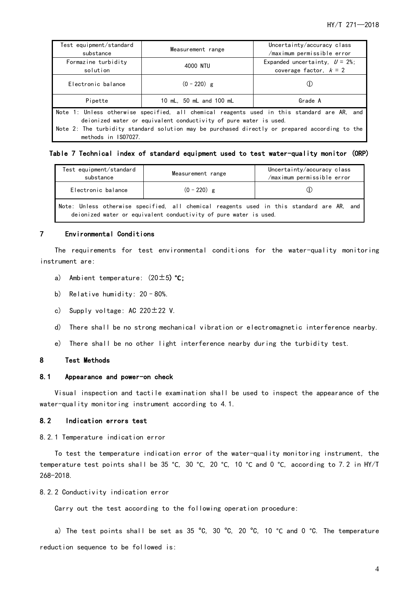| Test equipment/standard<br>substance                                                                                                                             | Measurement range       | Uncertainty/accuracy class<br>/maximum permissible error      |  |  |  |  |
|------------------------------------------------------------------------------------------------------------------------------------------------------------------|-------------------------|---------------------------------------------------------------|--|--|--|--|
| Formazine turbidity<br>solution                                                                                                                                  | 4000 NTU                | Expanded uncertainty, $U = 2\%$ ;<br>coverage factor, $k = 2$ |  |  |  |  |
| Electronic balance                                                                                                                                               | $(0 - 220)$ g           |                                                               |  |  |  |  |
| Pipette                                                                                                                                                          | 10 mL, 50 mL and 100 mL | Grade A                                                       |  |  |  |  |
| Note 1: Unless otherwise specified, all chemical reagents used in this standard are AR, and<br>deionized water or equivalent conductivity of pure water is used. |                         |                                                               |  |  |  |  |
| Note 2: The turbidity standard solution may be purchased directly or prepared according to the<br>methods in 1S07027.                                            |                         |                                                               |  |  |  |  |

#### Table 7 Technical index of standard equipment used to test water-quality monitor (ORP)

| Test equipment/standard<br>substance | Measurement range                                                                                                                                              | Uncertainty/accuracy class<br>/maximum permissible error |
|--------------------------------------|----------------------------------------------------------------------------------------------------------------------------------------------------------------|----------------------------------------------------------|
| Electronic balance                   | $(0 - 220)$ g                                                                                                                                                  |                                                          |
|                                      | Note: Unless otherwise specified, all chemical reagents used in this standard are AR, and<br>deionized water or equivalent conductivity of pure water is used. |                                                          |

#### <span id="page-6-0"></span>7 Environmental Conditions

The requirements for test environmental conditions for the water-quality monitoring instrument are:

- a) Ambient temperature: (20±5) **°C**;
- b) Relative humidity: 20–80%.
- c) Supply voltage: AC  $220 \pm 22$  V.
- d) There shall be no strong mechanical vibration or electromagnetic interference nearby.
- e) There shall be no other light interference nearby during the turbidity test.

#### <span id="page-6-1"></span>8 Test Methods

#### <span id="page-6-2"></span>8.1 Appearance and power-on check

Visual inspection and tactile examination shall be used to inspect the appearance of the water-quality monitoring instrument according to 4.1.

#### <span id="page-6-3"></span>8.2 Indication errors test

8.2.1 Temperature indication error

To test the temperature indication error of the water-quality monitoring instrument, the temperature test points shall be 35 °C, 30 °C, 20 °C, 10 °C and 0 °C, according to 7.2 in HY/T 268-2018.

#### 8.2.2 Conductivity indication error

Carry out the test according to the following operation procedure:

a) The test points shall be set as 35 °C, 30 °C, 20 °C, 10 °C and 0 °C. The temperature reduction sequence to be followed is: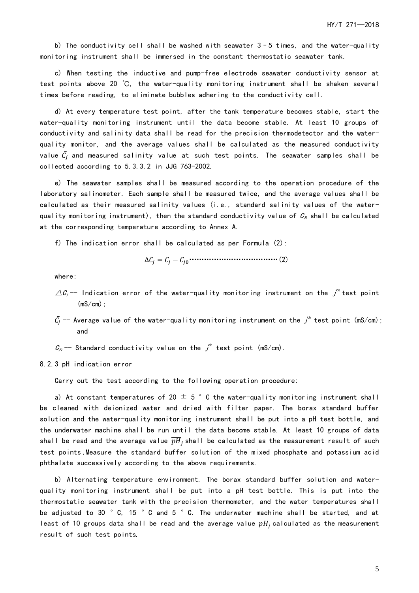b) The conductivity cell shall be washed with seawater  $3-5$  times, and the water-quality monitoring instrument shall be immersed in the constant thermostatic seawater tank.

c) When testing the inductive and pump-free electrode seawater conductivity sensor at test points above 20 ℃, the water-quality monitoring instrument shall be shaken several times before reading, to eliminate bubbles adhering to the conductivity cell.

d) At every temperature test point, after the tank temperature becomes stable, start the water-quality monitoring instrument until the data become stable. At least 10 groups of conductivity and salinity data shall be read for the precision thermodetector and the waterquality monitor, and the average values shall be calculated as the measured conductivity value  $\bar{\mathcal{C}_j}$  and measured salinity value at such test points. The seawater samples shall be collected according to 5.3.3.2 in JJG 763-2002.

e) The seawater samples shall be measured according to the operation procedure of the laboratory salinometer. Each sample shall be measured twice, and the average values shall be calculated as their measured salinity values (i.e., standard salinity values of the waterquality monitoring instrument), then the standard conductivity value of  $C_{\rho}$  shall be calculated at the corresponding temperature according to Annex A.

f) The indication error shall be calculated as per Formula (2):

$$
\Delta C_j = \bar{C}_j - C_{j0} \cdots \cdots \cdots \cdots \cdots \cdots \cdots \cdots \cdots \cdots \cdots \cdots \cdots (2)
$$

where:

- $\varDelta\mathcal{C}_j$  -- Indication error of the water-quality monitoring instrument on the  $j^{th}$ test point  $(mS/cm)$ ;
- $\bar{\mathcal{C}}_j$  —— Average value of the water-quality monitoring instrument on the  $\jmath^{\text{th}}$  test point (mS/cm); and
- $\mathcal{C}_{\scriptscriptstyle{0}}$  -- Standard conductivity value on the  $\boldsymbol{j}^{\scriptscriptstyle th}$  test point (mS/cm).

8.2.3 pH indication error

Carry out the test according to the following operation procedure:

a) At constant temperatures of 20  $\pm$  5  $^{\circ}$  C the water-quality monitoring instrument shall be cleaned with deionized water and dried with filter paper. The borax standard buffer solution and the water-quality monitoring instrument shall be put into a pH test bottle, and the underwater machine shall be run until the data become stable. At least 10 groups of data shall be read and the average value  $\overline{pH}_j$ shall be calculated as the measurement result of such test points . Measure the standard buffer solution of the mixed phosphate and potassium acid phthalate successively according to the above requirements.

b) Alternating temperature environment. The borax standard buffer solution and waterquality monitoring instrument shall be put into a pH test bottle. This is put into the thermostatic seawater tank with the precision thermometer, and the water temperatures shall be adjusted to 30 °C, 15 °C and 5 °C. The underwater machine shall be started, and at least of 10 groups data shall be read and the average value  $\overline{pH}_j$  calculated as the measurement result of such test points.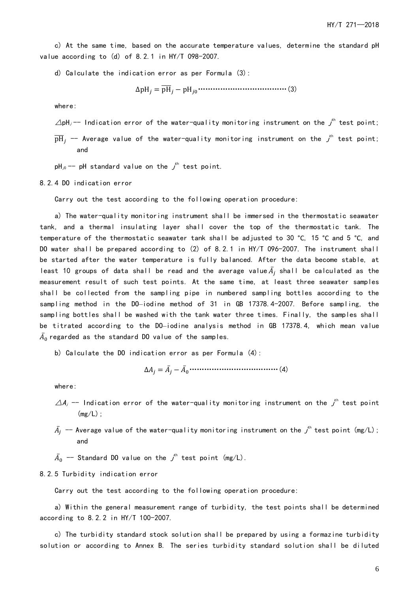c) At the same time, based on the accurate temperature values, determine the standard pH value according to (d) of 8.2.1 in HY/T 098-2007.

d) Calculate the indication error as per Formula (3):

 $\Delta pH_j = \overline{pH}_j - pH_{j0} \cdots \cdots \cdots \cdots \cdots \cdots \cdots \cdots \cdots \cdots (3)$ 

where:

 $\triangle$ pH ${_j}$ -- Indication error of the water-quality monitoring instrument on the  ${_j}^{\rm{th}}$  test point;

 $\overline{\rm pH}_j$  —— Average value of the water-quality monitoring instrument on the  $\it{j}^{\rm th}$  test point; and

pH $_{\odot}$  -- pH standard value on the  $j^{\text{th}}$  test point.

8.2.4 DO indication error

Carry out the test according to the following operation procedure:

a) The water-quality monitoring instrument shall be immersed in the thermostatic seawater tank, and a thermal insulating layer shall cover the top of the thermostatic tank. The temperature of the thermostatic seawater tank shall be adjusted to 30 °C, 15 °C and 5 °C, and DO water shall be prepared according to (2) of 8.2.1 in HY/T 096-2007. The instrument shall be started after the water temperature is fully balanced. After the data become stable, at least 10 groups of data shall be read and the average value $\bar{A_j}$  shall be calculated as the measurement result of such test points. At the same time, at least three seawater samples shall be collected from the sampling pipe in numbered sampling bottles according to the sampling method in the DO–iodine method of 31 in GB 17378.4-2007. Before sampling, the sampling bottles shall be washed with the tank water three times. Finally, the samples shall be titrated according to the DO–iodine analysis method in GB 17378.4, which mean value  $\bar{A_0}$ regarded as the standard DO value of the samples.

b) Calculate the DO indication error as per Formula (4):

$$
\Delta A_j = \bar{A}_j - \bar{A}_0 \cdots \cdots \cdots \cdots \cdots \cdots \cdots \cdots \cdots \cdots \cdots (4)
$$

where:

- $\varDelta$ A $_{j}$  -- Indication error of the water-quality monitoring instrument on the  $\boldsymbol{j}^{\text{th}}$  test point  $(mg/L)$ :
- $\bar{A_j}$  -- Average value of the water-quality monitoring instrument on the  $\vec{\jmath}^{\scriptscriptstyle\text{th}}$  test point (mg/L); and

 $\bar{A_0}$  -- Standard DO value on the  $\vec{J}^{\scriptscriptstyle\text{th}}$  test point (mg/L).

#### 8.2.5 Turbidity indication error

Carry out the test according to the following operation procedure:

a) Within the general measurement range of turbidity, the test points shall be determined according to 8.2.2 in HY/T 100-2007.

c) The turbidity standard stock solution shall be prepared by using a formazine turbidity solution or according to Annex B. The series turbidity standard solution shall be diluted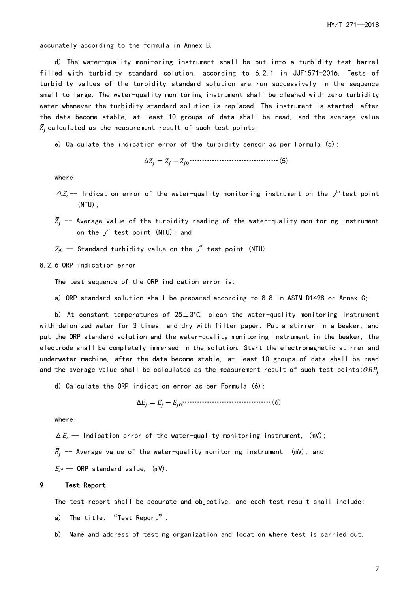accurately according to the formula in Annex B.

d) The water-quality monitoring instrument shall be put into a turbidity test barrel filled with turbidity standard solution, according to 6.2.1 in JJF1571-2016. Tests of turbidity values of the turbidity standard solution are run successively in the sequence small to large. The water-quality monitoring instrument shall be cleaned with zero turbidity water whenever the turbidity standard solution is replaced. The instrument is started; after the data become stable, at least 10 groups of data shall be read, and the average value  $\bar{Z_j}$  calculated as the measurement result of such test points.

e) Calculate the indication error of the turbidity sensor as per Formula (5):

∆ = ̅ − 0………………………………(5)

where:

- $\varDelta Z_{j}$  -- Indication error of the water-quality monitoring instrument on the  $\vec j^{\rm th}$  test point  $(NTU)$ :
- $\bar{Z_j}$  -- Average value of the turbidity reading of the water-quality monitoring instrument on the  $\vec J^{\scriptscriptstyle \rm th}$  test point (NTU); and
- $Z_{j0}$  -- Standard turbidity value on the  $j^{\text{th}}$  test point (NTU).

8.2.6 ORP indication error

The test sequence of the ORP indication error is:

a) ORP standard solution shall be prepared according to 8.8 in ASTM D1498 or Annex C;

b) At constant temperatures of  $25\pm3$ °C, clean the water-quality monitoring instrument with deionized water for 3 times, and dry with filter paper. Put a stirrer in a beaker, and put the ORP standard solution and the water-quality monitoring instrument in the beaker, the electrode shall be completely immersed in the solution. Start the electromagnetic stirrer and underwater machine, after the data become stable, at least 10 groups of data shall be read and the average value shall be calculated as the measurement result of such test points; $\overline{ORP_j}$ 

d) Calculate the ORP indication error as per Formula (6):

∆ = ̅ − 0………………………………(6)

where:

 $\Delta E_j$  -- Indication error of the water-quality monitoring instrument, (mV);

 $\bar{E}_j$  -- Average value of the water-quality monitoring instrument, (mV); and

 $E_{i0}$  -- ORP standard value, (mV).

#### <span id="page-9-0"></span>9 Test Report

The test report shall be accurate and objective, and each test result shall include:

- a) The title: "Test Report".
- b) Name and address of testing organization and location where test is carried out.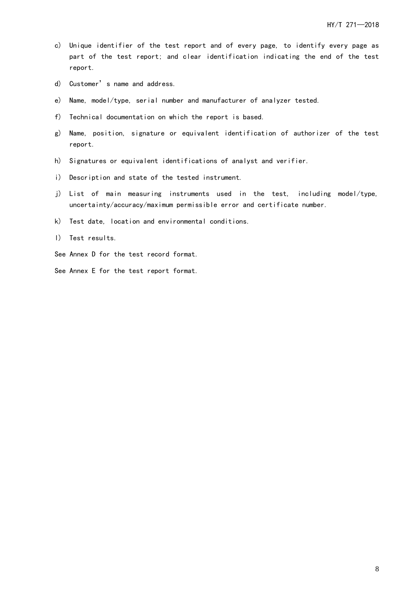- c) Unique identifier of the test report and of every page, to identify every page as part of the test report; and clear identification indicating the end of the test report.
- d) Customer's name and address.
- e) Name, model/type, serial number and manufacturer of analyzer tested.
- f) Technical documentation on which the report is based.
- g) Name, position, signature or equivalent identification of authorizer of the test report.
- h) Signatures or equivalent identifications of analyst and verifier.
- i) Description and state of the tested instrument.
- j) List of main measuring instruments used in the test, including model/type, uncertainty/accuracy/maximum permissible error and certificate number.
- k) Test date, location and environmental conditions.
- l) Test results.
- See Annex D for the test record format.
- See Annex E for the test report format.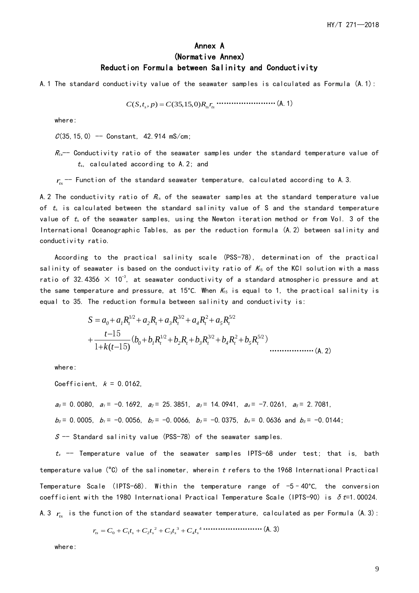### Annex A (Normative Annex) Reduction Formula between Salinity and Conductivity

<span id="page-11-0"></span>A.1 The standard conductivity value of the seawater samples is calculated as Formula (A.1):

*C S t p C R r* ( , , ) (35,15,0) *s ts ts* = ……………………(A.1)

where:

 $C(35, 15, 0)$  -- Constant, 42.914 mS/cm;

 $R_{ts}$  - Conductivity ratio of the seawater samples under the standard temperature value of  $t<sub>s</sub>$ , calculated according to A.2; and

 $r_s$  -- Function of the standard seawater temperature, calculated according to A.3.

A.2 The conductivity ratio of  $R_s$  of the seawater samples at the standard temperature value of  $t_s$  is calculated between the standard salinity value of S and the standard temperature value of  $t_s$  of the seawater samples, using the Newton iteration method or from Vol. 3 of the International Oceanographic Tables, as per the reduction formula (A.2) between salinity and conductivity ratio.

According to the practical salinity scale (PSS-78), determination of the practical salinity of seawater is based on the conductivity ratio of  $K_{15}$  of the KCI solution with a mass ratio of 32.4356  $\times$  10<sup>-3</sup>, at seawater conductivity of a standard atmospheric pressure and at the same temperature and pressure, at 15°C. When  $K_{15}$  is equal to 1, the practical salinity is equal to 35. The reduction formula between salinity and conductivity is:

$$
S = a_0 + a_1 R_t^{1/2} + a_2 R_t + a_3 R_t^{3/2} + a_4 R_t^2 + a_5 R_t^{5/2}
$$
  
+ 
$$
\frac{t-15}{1+k(t-15)} (b_0 + b_1 R_t^{1/2} + b_2 R_t + b_3 R_t^{3/2} + b_4 R_t^2 + b_5 R_t^{5/2})
$$
................. (A. 2)

where:

Coefficient,  $k = 0.0162$ ,

 $a_0 = 0.0080$ ,  $a_1 = -0.1692$ ,  $a_2 = 25.3851$ ,  $a_3 = 14.0941$ ,  $a_4 = -7.0261$ ,  $a_5 = 2.7081$ ,

 $b_0 = 0.0005$ ,  $b_1 = -0.0056$ ,  $b_2 = -0.0066$ ,  $b_3 = -0.0375$ ,  $b_4 = 0.0636$  and  $b_5 = -0.0144$ ;

 $S$  -- Standard salinity value (PSS-78) of the seawater samples.

 $t_s$  -- Temperature value of the seawater samples IPTS-68 under test; that is, bath temperature value (°C) of the salinometer, wherein <sup>t</sup> refers to the 1968 International Practical Temperature Scale (IPTS-68). Within the temperature range of  $-5-40^{\circ}$ C, the conversion coefficient with the 1980 International Practical Temperature Scale (IPTS-90) is  $\delta t=1.00024$ . A.3  $r_{ts}^{\prime}$  is the function of the standard seawater temperature, calculated as per Formula (A.3):

2 3 4 *ts s s s s* = + + + + 0 1 2 3 4 *r C C t C t C t C t* ……………………(A.3)

where: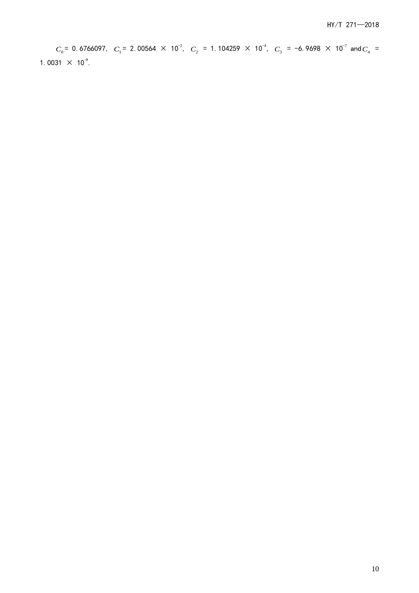c<sub>,</sub> = 0.6766977. c, = 2.00564 × 10<sup>2</sup>. c, = 1.104299 × 10<sup>2</sup>, c, = -6.9698 × 10<sup>2</sup> and c, =<br>31 × 10<sup>2</sup>. = 0. 6766097,  $\quad_1$  = 2. 00564  $\,\times\,$  10<sup>-2</sup>,  $\quad_2$  = 1. 104259  $\,\times\,$  10<sup>-4</sup>,  $\quad C_{_3}$  =  $-6$ . 9698  $\,\times\,$  10<sup>-7</sup> and  $C_{_4}$  = 1.0031  $\times$  10<sup>-9</sup>.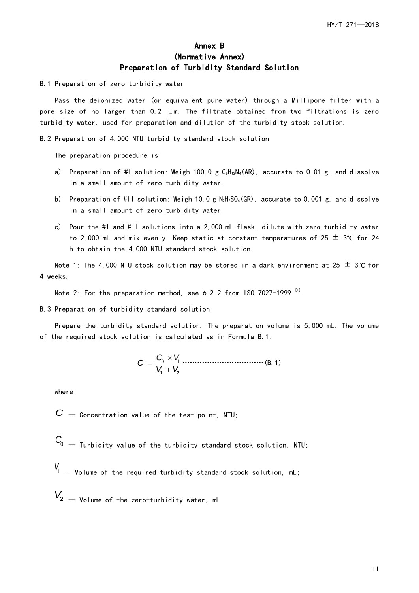## Annex B (Normative Annex) Preparation of Turbidity Standard Solution

<span id="page-13-0"></span>B.1 Preparation of zero turbidity water

Pass the deionized water (or equivalent pure water) through a Millipore filter with a pore size of no larger than 0.2 μm. The filtrate obtained from two filtrations is zero turbidity water, used for preparation and dilution of the turbidity stock solution.

B.2 Preparation of 4,000 NTU turbidity standard stock solution

The preparation procedure is:

- a) Preparation of #I solution: Weigh 100.0 g  $C_6H_{12}N_4(AR)$ , accurate to 0.01 g, and dissolve in a small amount of zero turbidity water.
- b) Preparation of #II solution: Weigh 10.0 g  $N_2H_6SO_4(GR)$ , accurate to 0.001 g, and dissolve in a small amount of zero turbidity water.
- c) Pour the #I and #II solutions into a 2,000 mL flask, dilute with zero turbidity water to 2,000 mL and mix evenly. Keep static at constant temperatures of 25  $\pm$  3°C for 24 h to obtain the 4,000 NTU standard stock solution.

Note 1: The 4,000 NTU stock solution may be stored in a dark environment at 25  $\pm$  3°C for 4 weeks.

Note 2: For the preparation method, see 6.2.2 from ISO 7027-1999  $^{\text{\tiny{[1]}}}$ .

B.3 Preparation of turbidity standard solution

Prepare the turbidity standard solution. The preparation volume is 5,000 mL. The volume of the required stock solution is calculated as in Formula B.1:

0 1 1 2 *C V <sup>C</sup> V V* = + ……………………………(B.1)

where:

 $C$  -- Concentration value of the test point, NTU;

 $C_{0}$  -- Turbidity value of the turbidity standard stock solution, NTU;

- $V_1$  -- Volume of the required turbidity standard stock solution, mL;
- *V*<sup>2</sup> -- Volume of the zero-turbidity water, mL.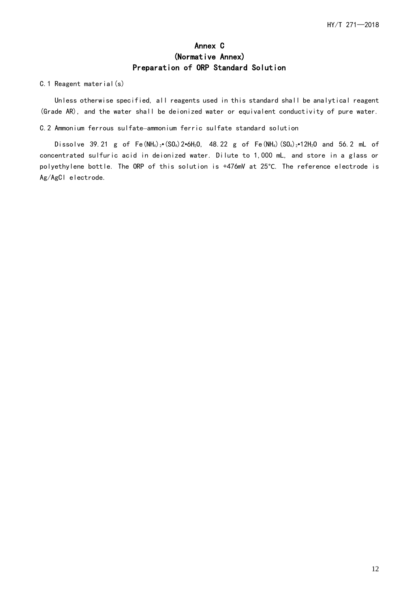## Annex C (Normative Annex) Preparation of ORP Standard Solution

#### <span id="page-14-0"></span>C.1 Reagent material(s)

Unless otherwise specified, all reagents used in this standard shall be analytical reagent (Grade AR), and the water shall be deionized water or equivalent conductivity of pure water.

#### C.2 Ammonium ferrous sulfate–ammonium ferric sulfate standard solution

Dissolve 39.21 g of Fe(NH<sub>4</sub>)<sub>2</sub>•(SO<sub>4</sub>)2•6H<sub>2</sub>O, 48.22 g of Fe(NH<sub>4</sub>)(SO<sub>4</sub>)<sub>2</sub>•12H<sub>2</sub>O and 56.2 mL of concentrated sulfuric acid in deionized water. Dilute to 1,000 mL, and store in a glass or polyethylene bottle. The ORP of this solution is +476mV at 25°C. The reference electrode is Ag/AgCl electrode.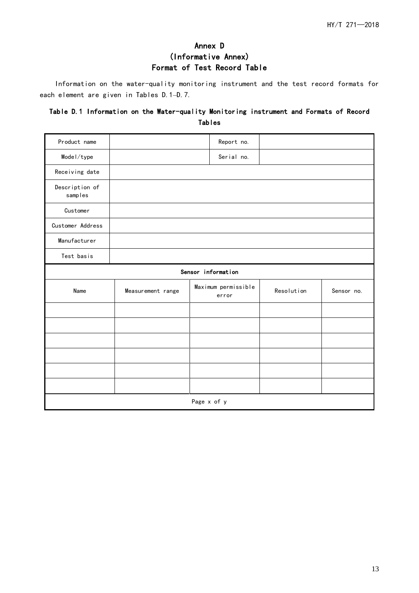# Annex D (Informative Annex) Format of Test Record Table

<span id="page-15-0"></span>Information on the water-quality monitoring instrument and the test record formats for each element are given in Tables D.1–D.7.

### Table D.1 Information on the Water-quality Monitoring instrument and Formats of Record Tables

| Product name              |                    | Report no.                   |            |            |  |  |  |  |  |
|---------------------------|--------------------|------------------------------|------------|------------|--|--|--|--|--|
| Model/type                |                    | Serial no.                   |            |            |  |  |  |  |  |
| Receiving date            |                    |                              |            |            |  |  |  |  |  |
| Description of<br>samples |                    |                              |            |            |  |  |  |  |  |
| Customer                  |                    |                              |            |            |  |  |  |  |  |
| Customer Address          |                    |                              |            |            |  |  |  |  |  |
| Manufacturer              |                    |                              |            |            |  |  |  |  |  |
| Test basis                |                    |                              |            |            |  |  |  |  |  |
|                           | Sensor information |                              |            |            |  |  |  |  |  |
| Name                      | Measurement range  | Maximum permissible<br>error | Resolution | Sensor no. |  |  |  |  |  |
|                           |                    |                              |            |            |  |  |  |  |  |
|                           |                    |                              |            |            |  |  |  |  |  |
|                           |                    |                              |            |            |  |  |  |  |  |
|                           |                    |                              |            |            |  |  |  |  |  |
|                           |                    |                              |            |            |  |  |  |  |  |
|                           |                    |                              |            |            |  |  |  |  |  |
|                           | Page x of y        |                              |            |            |  |  |  |  |  |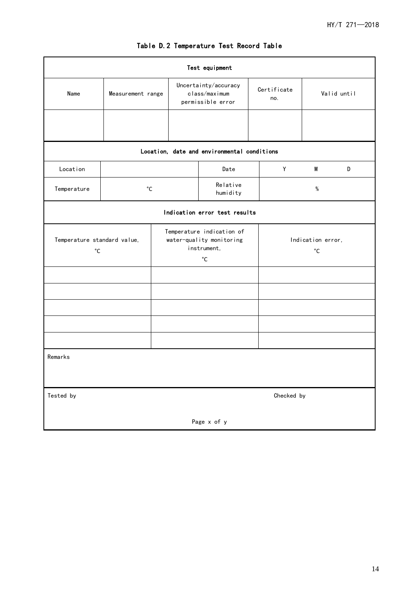| Test equipment                              |                   |                                                                                           |                                                            |                      |  |                                        |             |   |  |
|---------------------------------------------|-------------------|-------------------------------------------------------------------------------------------|------------------------------------------------------------|----------------------|--|----------------------------------------|-------------|---|--|
| Name                                        | Measurement range |                                                                                           | Uncertainty/accuracy<br>class/maximum<br>permissible error |                      |  | Certificate<br>no.                     | Valid until |   |  |
|                                             |                   |                                                                                           |                                                            |                      |  |                                        |             |   |  |
| Location, date and environmental conditions |                   |                                                                                           |                                                            |                      |  |                                        |             |   |  |
| Location                                    |                   |                                                                                           |                                                            | Date                 |  | Y                                      | M           | D |  |
| Temperature                                 | $^{\circ}$ C      |                                                                                           |                                                            | Relative<br>humidity |  | %                                      |             |   |  |
| Indication error test results               |                   |                                                                                           |                                                            |                      |  |                                        |             |   |  |
| Temperature standard value,<br>$^{\circ}$ C |                   | Temperature indication of<br>water-quality monitoring<br>instrument,<br>$^{\circ}{\rm C}$ |                                                            |                      |  | Indication error,<br>$^{\circ}{\rm C}$ |             |   |  |
|                                             |                   |                                                                                           |                                                            |                      |  |                                        |             |   |  |
|                                             |                   |                                                                                           |                                                            |                      |  |                                        |             |   |  |
|                                             |                   |                                                                                           |                                                            |                      |  |                                        |             |   |  |
|                                             |                   |                                                                                           |                                                            |                      |  |                                        |             |   |  |
|                                             |                   |                                                                                           |                                                            |                      |  |                                        |             |   |  |
| Remarks                                     |                   |                                                                                           |                                                            |                      |  |                                        |             |   |  |
| Tested by<br>Checked by                     |                   |                                                                                           |                                                            |                      |  |                                        |             |   |  |
| Page x of y                                 |                   |                                                                                           |                                                            |                      |  |                                        |             |   |  |

## Table D.2 Temperature Test Record Table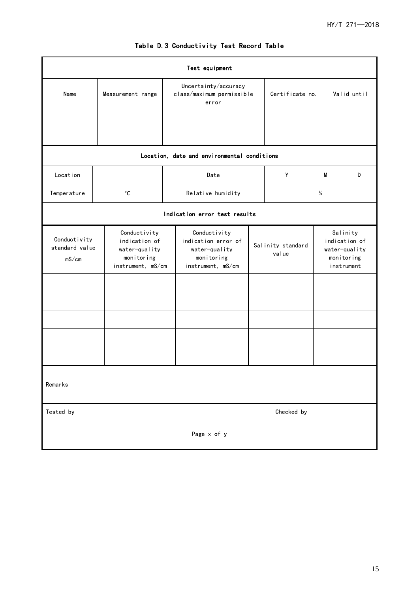| Test equipment                          |                                                                                   |                                                                                         |                           |                            |                                                                        |             |  |  |  |
|-----------------------------------------|-----------------------------------------------------------------------------------|-----------------------------------------------------------------------------------------|---------------------------|----------------------------|------------------------------------------------------------------------|-------------|--|--|--|
| Name                                    | Measurement range                                                                 | Uncertainty/accuracy<br>error                                                           | class/maximum permissible |                            |                                                                        | Valid until |  |  |  |
|                                         |                                                                                   |                                                                                         |                           |                            |                                                                        |             |  |  |  |
|                                         |                                                                                   | Location, date and environmental conditions                                             |                           |                            |                                                                        |             |  |  |  |
| Location                                |                                                                                   | Date                                                                                    |                           | Υ                          | M                                                                      | D           |  |  |  |
| Temperature                             | $^{\circ}$ C                                                                      | Relative humidity                                                                       |                           |                            | $\%$                                                                   |             |  |  |  |
|                                         | Indication error test results                                                     |                                                                                         |                           |                            |                                                                        |             |  |  |  |
| Conductivity<br>standard value<br>mS/cm | Conductivity<br>indication of<br>water-quality<br>monitoring<br>instrument, mS/cm | Conductivity<br>indication error of<br>water-quality<br>monitoring<br>instrument, mS/cm |                           | Salinity standard<br>value | Salinity<br>indication of<br>water-quality<br>monitoring<br>instrument |             |  |  |  |
|                                         |                                                                                   |                                                                                         |                           |                            |                                                                        |             |  |  |  |
|                                         |                                                                                   |                                                                                         |                           |                            |                                                                        |             |  |  |  |
| Remarks                                 |                                                                                   |                                                                                         |                           |                            |                                                                        |             |  |  |  |
| Checked by<br>Tested by                 |                                                                                   |                                                                                         |                           |                            |                                                                        |             |  |  |  |
| Page x of y                             |                                                                                   |                                                                                         |                           |                            |                                                                        |             |  |  |  |

# Table D.3 Conductivity Test Record Table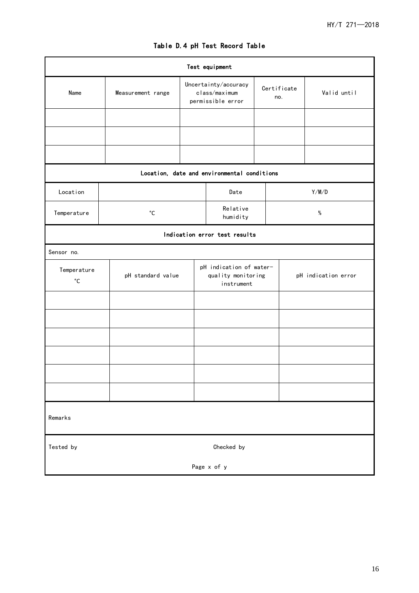| Test equipment                   |                   |                   |                                                            |                                             |                                               |       |                     |  |
|----------------------------------|-------------------|-------------------|------------------------------------------------------------|---------------------------------------------|-----------------------------------------------|-------|---------------------|--|
| Name                             | Measurement range |                   | Uncertainty/accuracy<br>class/maximum<br>permissible error |                                             | Certificate<br>no.                            |       | Valid until         |  |
|                                  |                   |                   |                                                            |                                             |                                               |       |                     |  |
|                                  |                   |                   |                                                            |                                             |                                               |       |                     |  |
|                                  |                   |                   |                                                            |                                             |                                               |       |                     |  |
|                                  |                   |                   |                                                            | Location, date and environmental conditions |                                               |       |                     |  |
| Location                         |                   |                   |                                                            | Date                                        |                                               | Y/M/D |                     |  |
| Temperature                      |                   | $^{\circ}{\rm C}$ |                                                            |                                             |                                               | $\%$  |                     |  |
| Indication error test results    |                   |                   |                                                            |                                             |                                               |       |                     |  |
| Sensor no.                       |                   |                   |                                                            |                                             |                                               |       |                     |  |
| Temperature<br>$^{\circ}{\rm C}$ |                   | pH standard value |                                                            |                                             | pH indication of water-<br>quality monitoring |       | pH indication error |  |
|                                  |                   |                   |                                                            |                                             |                                               |       |                     |  |
|                                  |                   |                   |                                                            |                                             |                                               |       |                     |  |
|                                  |                   |                   |                                                            |                                             |                                               |       |                     |  |
|                                  |                   |                   |                                                            |                                             |                                               |       |                     |  |
|                                  |                   |                   |                                                            |                                             |                                               |       |                     |  |
|                                  |                   |                   |                                                            |                                             |                                               |       |                     |  |
| Remarks                          |                   |                   |                                                            |                                             |                                               |       |                     |  |
| Checked by<br>Tested by          |                   |                   |                                                            |                                             |                                               |       |                     |  |
| Page x of y                      |                   |                   |                                                            |                                             |                                               |       |                     |  |

# Table D.4 pH Test Record Table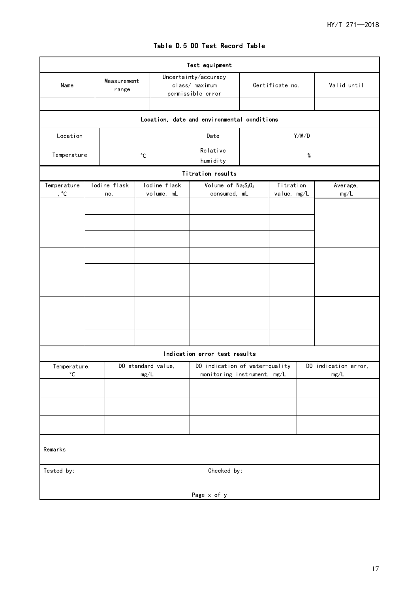|                     |                      |              |                                                             |                    | Test equipment                                                |  |             |             |                      |  |
|---------------------|----------------------|--------------|-------------------------------------------------------------|--------------------|---------------------------------------------------------------|--|-------------|-------------|----------------------|--|
| Name                | Measurement<br>range |              | Uncertainty/accuracy<br>class/ maximum<br>permissible error |                    | Certificate no.                                               |  |             | Valid until |                      |  |
|                     |                      |              |                                                             |                    |                                                               |  |             |             |                      |  |
|                     |                      |              |                                                             |                    | Location, date and environmental conditions                   |  |             |             |                      |  |
| Location            |                      |              |                                                             | Y/M/D<br>Date      |                                                               |  |             |             |                      |  |
| Temperature         |                      |              | $^{\circ}{\rm C}$                                           |                    | Relative<br>humidity                                          |  |             |             |                      |  |
|                     |                      |              |                                                             |                    | Titration results                                             |  |             |             |                      |  |
| Temperature         |                      | Iodine flask |                                                             | Iodine flask       | Volume of Na <sub>2</sub> S <sub>2</sub> O <sub>3</sub>       |  | Titration   |             | Average,             |  |
| , $^{\circ}{\rm C}$ |                      | no.          |                                                             | volume, mL         | consumed, mL                                                  |  | value, mg/L |             | mg/L                 |  |
|                     |                      |              |                                                             |                    |                                                               |  |             |             |                      |  |
|                     |                      |              |                                                             |                    |                                                               |  |             |             |                      |  |
|                     |                      |              |                                                             |                    |                                                               |  |             |             |                      |  |
|                     |                      |              |                                                             |                    |                                                               |  |             |             |                      |  |
|                     |                      |              |                                                             |                    | Indication error test results                                 |  |             |             |                      |  |
| Temperature,        |                      |              |                                                             | DO standard value, |                                                               |  |             |             | DO indication error, |  |
| $^{\circ}{\rm C}$   |                      |              | mg/L                                                        |                    | DO indication of water-quality<br>monitoring instrument, mg/L |  |             | mg/L        |                      |  |
|                     |                      |              |                                                             |                    |                                                               |  |             |             |                      |  |
|                     |                      |              |                                                             |                    |                                                               |  |             |             |                      |  |
|                     |                      |              |                                                             |                    |                                                               |  |             |             |                      |  |
| Remarks             |                      |              |                                                             |                    |                                                               |  |             |             |                      |  |
| Tested by:          |                      |              |                                                             |                    | Checked by:                                                   |  |             |             |                      |  |
|                     |                      |              |                                                             |                    | Page x of y                                                   |  |             |             |                      |  |

## Table D.5 DO Test Record Table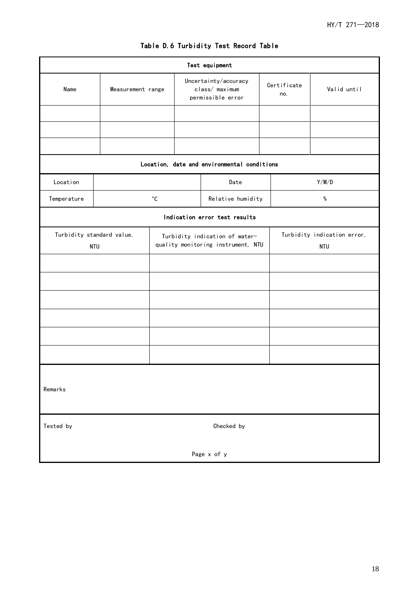| Test equipment                          |            |                   |                                                                      |                                                             |                    |                                           |             |  |
|-----------------------------------------|------------|-------------------|----------------------------------------------------------------------|-------------------------------------------------------------|--------------------|-------------------------------------------|-------------|--|
| Name<br>Measurement range               |            |                   |                                                                      | Uncertainty/accuracy<br>class/ maximum<br>permissible error | Certificate<br>no. |                                           | Valid until |  |
|                                         |            |                   |                                                                      |                                                             |                    |                                           |             |  |
|                                         |            |                   |                                                                      |                                                             |                    |                                           |             |  |
|                                         |            |                   |                                                                      |                                                             |                    |                                           |             |  |
|                                         |            |                   |                                                                      | Location, date and environmental conditions                 |                    |                                           |             |  |
| Location                                |            |                   |                                                                      | Date                                                        |                    | Y/M/D                                     |             |  |
| Temperature                             |            | $^{\circ}{\rm C}$ |                                                                      | Relative humidity                                           |                    |                                           | $\%$        |  |
|                                         |            |                   |                                                                      | Indication error test results                               |                    |                                           |             |  |
| Turbidity standard value,<br><b>NTU</b> |            |                   | Turbidity indication of water-<br>quality monitoring instrument, NTU |                                                             |                    | Turbidity indication error,<br><b>NTU</b> |             |  |
|                                         |            |                   |                                                                      |                                                             |                    |                                           |             |  |
|                                         |            |                   |                                                                      |                                                             |                    |                                           |             |  |
|                                         |            |                   |                                                                      |                                                             |                    |                                           |             |  |
|                                         |            |                   |                                                                      |                                                             |                    |                                           |             |  |
|                                         |            |                   |                                                                      |                                                             |                    |                                           |             |  |
|                                         |            |                   |                                                                      |                                                             |                    |                                           |             |  |
|                                         |            |                   |                                                                      |                                                             |                    |                                           |             |  |
| Remarks                                 |            |                   |                                                                      |                                                             |                    |                                           |             |  |
| Tested by                               | Checked by |                   |                                                                      |                                                             |                    |                                           |             |  |
| Page x of y                             |            |                   |                                                                      |                                                             |                    |                                           |             |  |

# Table D.6 Turbidity Test Record Table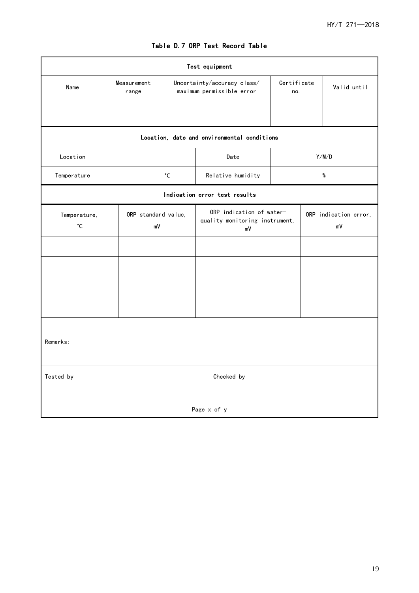$\overline{\mathbf{1}}$ 

| Test equipment                    |                           |                   |                                                                                |                             |      |             |  |  |  |
|-----------------------------------|---------------------------|-------------------|--------------------------------------------------------------------------------|-----------------------------|------|-------------|--|--|--|
| Name                              | Measurement<br>range      |                   | Certificate<br>Uncertainty/accuracy class/<br>maximum permissible error<br>no. |                             |      | Valid until |  |  |  |
|                                   |                           |                   |                                                                                |                             |      |             |  |  |  |
|                                   |                           |                   | Location, date and environmental conditions                                    |                             |      |             |  |  |  |
| Location                          |                           |                   | Date                                                                           |                             |      | Y/M/D       |  |  |  |
| Temperature                       |                           | $^{\circ}{\rm C}$ | Relative humidity                                                              |                             | $\%$ |             |  |  |  |
|                                   |                           |                   | Indication error test results                                                  |                             |      |             |  |  |  |
| Temperature,<br>$^{\circ}{\rm C}$ | ORP standard value,<br>mV |                   | ORP indication of water-<br>quality monitoring instrument,<br>mV               | ORP indication error,<br>mV |      |             |  |  |  |
|                                   |                           |                   |                                                                                |                             |      |             |  |  |  |
|                                   |                           |                   |                                                                                |                             |      |             |  |  |  |
|                                   |                           |                   |                                                                                |                             |      |             |  |  |  |
|                                   |                           |                   |                                                                                |                             |      |             |  |  |  |
| Remarks:                          |                           |                   |                                                                                |                             |      |             |  |  |  |
| Tested by                         | Checked by                |                   |                                                                                |                             |      |             |  |  |  |
|                                   |                           |                   | Page x of y                                                                    |                             |      |             |  |  |  |

## Table D.7 ORP Test Record Table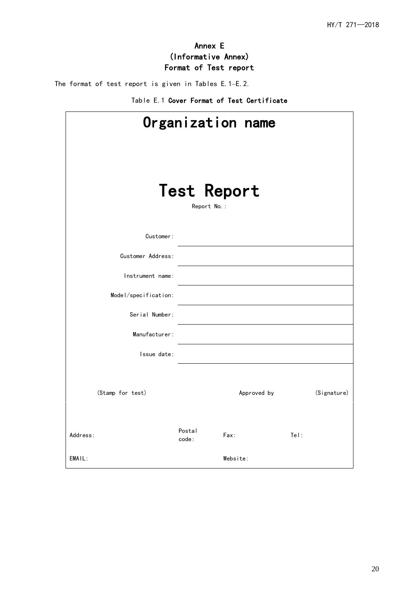# Annex E (Informative Annex) Format of Test report

<span id="page-22-0"></span>The format of test report is given in Tables E.1–E.2.

|  |  | Table E.1 Cover Format of Test Certificate |
|--|--|--------------------------------------------|
|--|--|--------------------------------------------|

| Organization name                 |                 |             |             |  |  |  |  |  |
|-----------------------------------|-----------------|-------------|-------------|--|--|--|--|--|
| <b>Test Report</b><br>Report No.: |                 |             |             |  |  |  |  |  |
| Customer:                         |                 |             |             |  |  |  |  |  |
| Customer Address:                 |                 |             |             |  |  |  |  |  |
| Instrument name:                  |                 |             |             |  |  |  |  |  |
| Model/specification:              |                 |             |             |  |  |  |  |  |
| Serial Number:                    |                 |             |             |  |  |  |  |  |
| Manufacturer:                     |                 |             |             |  |  |  |  |  |
| Issue date:                       |                 |             |             |  |  |  |  |  |
| (Stamp for test)                  |                 | Approved by | (Signature) |  |  |  |  |  |
| Address:                          | Postal<br>code: | Fax:        | Tel:        |  |  |  |  |  |
| EMAIL:                            |                 | Website:    |             |  |  |  |  |  |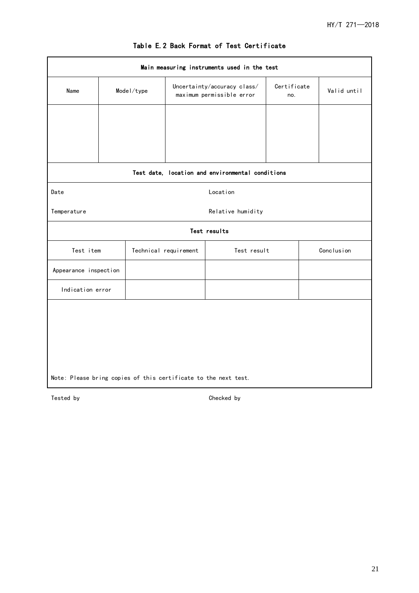| Main measuring instruments used in the test                     |  |                                |                                                          |                                                  |  |             |            |  |  |
|-----------------------------------------------------------------|--|--------------------------------|----------------------------------------------------------|--------------------------------------------------|--|-------------|------------|--|--|
| Name                                                            |  | $\textsf{ModeI}/\textsf{type}$ | Uncertainty/accuracy class/<br>maximum permissible error | Certificate<br>no.                               |  | Valid until |            |  |  |
|                                                                 |  |                                |                                                          |                                                  |  |             |            |  |  |
|                                                                 |  |                                |                                                          |                                                  |  |             |            |  |  |
|                                                                 |  |                                |                                                          |                                                  |  |             |            |  |  |
|                                                                 |  |                                |                                                          | Test date, location and environmental conditions |  |             |            |  |  |
| Location<br>Date                                                |  |                                |                                                          |                                                  |  |             |            |  |  |
| Temperature                                                     |  |                                |                                                          | Relative humidity                                |  |             |            |  |  |
|                                                                 |  |                                |                                                          | Test results                                     |  |             |            |  |  |
| Test item                                                       |  |                                | Technical requirement                                    | Test result                                      |  |             | Conclusion |  |  |
| Appearance inspection                                           |  |                                |                                                          |                                                  |  |             |            |  |  |
| Indication error                                                |  |                                |                                                          |                                                  |  |             |            |  |  |
|                                                                 |  |                                |                                                          |                                                  |  |             |            |  |  |
|                                                                 |  |                                |                                                          |                                                  |  |             |            |  |  |
|                                                                 |  |                                |                                                          |                                                  |  |             |            |  |  |
|                                                                 |  |                                |                                                          |                                                  |  |             |            |  |  |
| Note: Please bring copies of this certificate to the next test. |  |                                |                                                          |                                                  |  |             |            |  |  |
|                                                                 |  |                                |                                                          |                                                  |  |             |            |  |  |

## Table E.2 Back Format of Test Certificate

Tested by Checked by